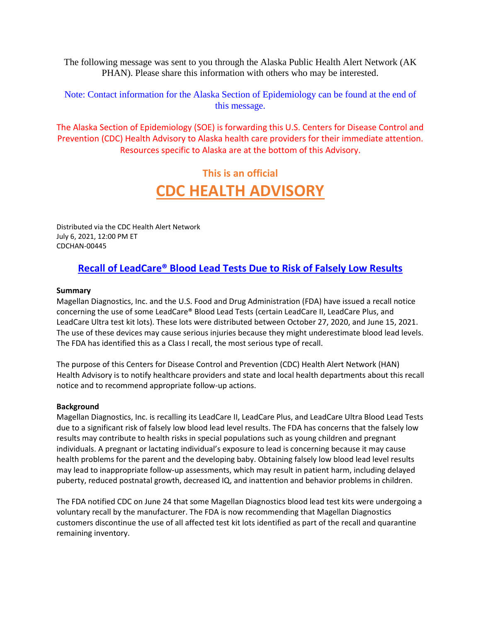The following message was sent to you through the Alaska Public Health Alert Network (AK PHAN). Please share this information with others who may be interested.

Note: Contact information for the Alaska Section of Epidemiology can be found at the end of this message.

The Alaska Section of Epidemiology (SOE) is forwarding this U.S. Centers for Disease Control and Prevention (CDC) Health Advisory to Alaska health care providers for their immediate attention. Resources specific to Alaska are at the bottom of this Advisory.

# **This is an official CDC HEALTH ADVISORY**

Distributed via the CDC Health Alert Network July 6, 2021, 12:00 PM ET CDCHAN-00445

## **[Recall of LeadCare® Blood Lead Tests Due to Risk of Falsely Low Results](https://emergency.cdc.gov/han/2021/pdf/CDC-HAN-00445.pdf)**

#### **Summary**

Magellan Diagnostics, Inc. and the U.S. Food and Drug Administration (FDA) have issued a recall notice concerning the use of some LeadCare® Blood Lead Tests (certain LeadCare II, LeadCare Plus, and LeadCare Ultra test kit lots). These lots were distributed between October 27, 2020, and June 15, 2021. The use of these devices may cause serious injuries because they might underestimate blood lead levels. The FDA has identified this as a Class I recall, the most serious type of recall.

The purpose of this Centers for Disease Control and Prevention (CDC) Health Alert Network (HAN) Health Advisory is to notify healthcare providers and state and local health departments about this recall notice and to recommend appropriate follow-up actions.

#### **Background**

Magellan Diagnostics, Inc. is recalling its LeadCare II, LeadCare Plus, and LeadCare Ultra Blood Lead Tests due to a significant risk of falsely low blood lead level results. The FDA has concerns that the falsely low results may contribute to health risks in special populations such as young children and pregnant individuals. A pregnant or lactating individual's exposure to lead is concerning because it may cause health problems for the parent and the developing baby. Obtaining falsely low blood lead level results may lead to inappropriate follow-up assessments, which may result in patient harm, including delayed puberty, reduced postnatal growth, decreased IQ, and inattention and behavior problems in children.

The FDA notified CDC on June 24 that some Magellan Diagnostics blood lead test kits were undergoing a voluntary recall by the manufacturer. The FDA is now recommending that Magellan Diagnostics customers discontinue the use of all affected test kit lots identified as part of the recall and quarantine remaining inventory.